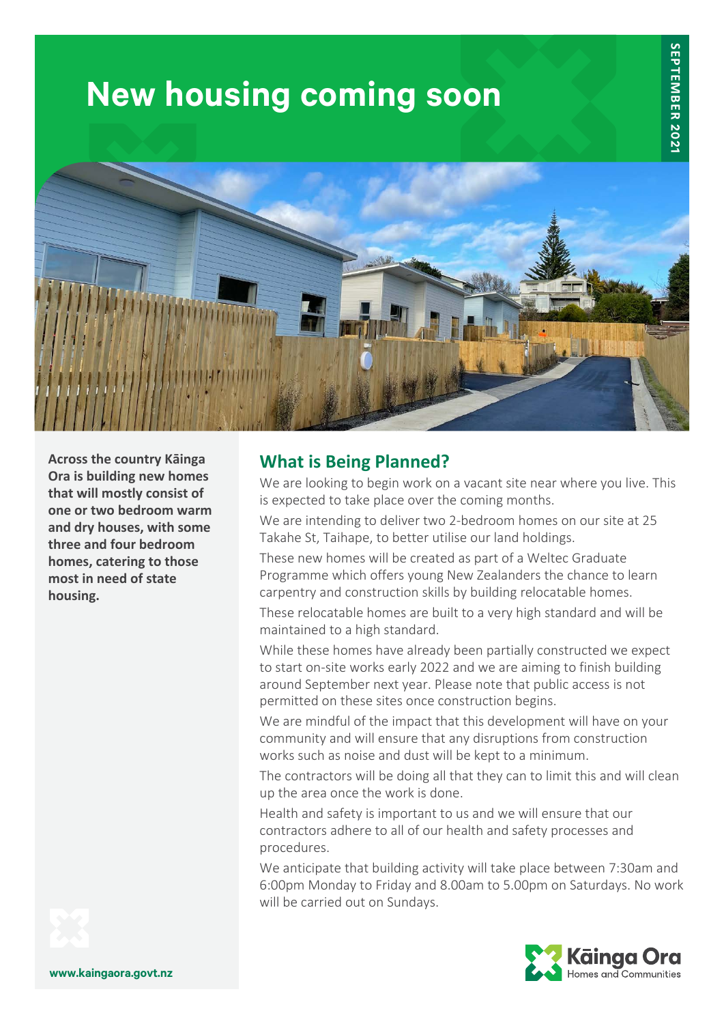# **New housing coming soon**



**Across the country Kāinga Ora is building new homes that will mostly consist of one or two bedroom warm and dry houses, with some three and four bedroom homes, catering to those most in need of state housing.**

## **What is Being Planned?**

We are looking to begin work on a vacant site near where you live. This is expected to take place over the coming months.

We are intending to deliver two 2-bedroom homes on our site at 25 Takahe St, Taihape, to better utilise our land holdings.

These new homes will be created as part of a Weltec Graduate Programme which offers young New Zealanders the chance to learn carpentry and construction skills by building relocatable homes.

These relocatable homes are built to a very high standard and will be maintained to a high standard.

While these homes have already been partially constructed we expect to start on-site works early 2022 and we are aiming to finish building around September next year. Please note that public access is not permitted on these sites once construction begins.

We are mindful of the impact that this development will have on your community and will ensure that any disruptions from construction works such as noise and dust will be kept to a minimum.

The contractors will be doing all that they can to limit this and will clean up the area once the work is done.

Health and safety is important to us and we will ensure that our contractors adhere to all of our health and safety processes and procedures.

We anticipate that building activity will take place between 7:30am and 6:00pm Monday to Friday and 8.00am to 5.00pm on Saturdays. No work will be carried out on Sundays.



**www.kaingaora.govt.nz**